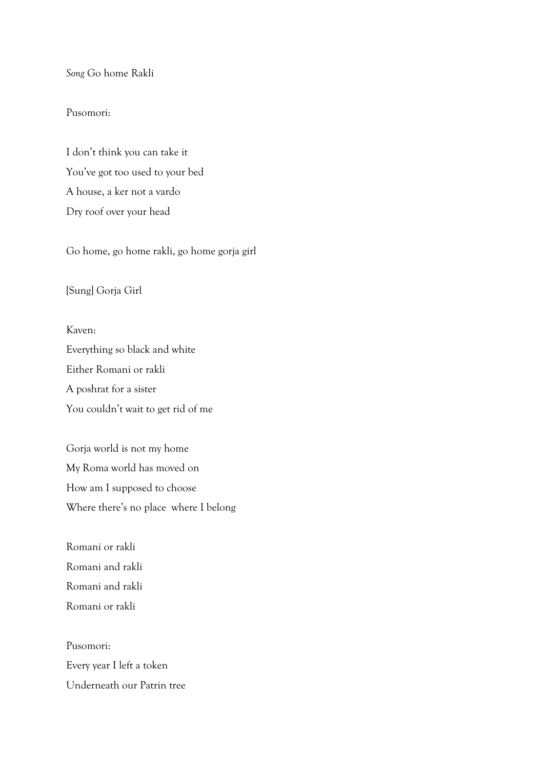*Song* Go home Rakli

## Pusomori:

I don't think you can take it You've got too used to your bed A house, a ker not a vardo Dry roof over your head

Go home, go home rakli, go home gorja girl

## [Sung] Gorja Girl

Kaven: Everything so black and white Either Romani or rakli A poshrat for a sister You couldn't wait to get rid of me

Gorja world is not my home My Roma world has moved on How am I supposed to choose Where there's no place where I belong

Romani or rakli Romani and rakli Romani and rakli Romani or rakli

Pusomori: Every year I left a token Underneath our Patrin tree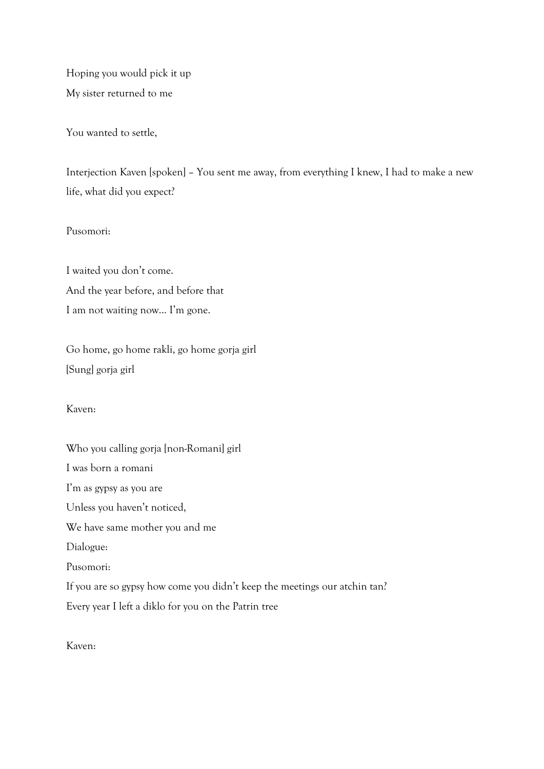Hoping you would pick it up My sister returned to me

You wanted to settle,

Interjection Kaven [spoken] – You sent me away, from everything I knew, I had to make a new life, what did you expect?

Pusomori:

I waited you don't come. And the year before, and before that I am not waiting now... I'm gone.

Go home, go home rakli, go home gorja girl [Sung] gorja girl

Kaven:

Who you calling gorja [non-Romani] girl I was born a romani I'm as gypsy as you are Unless you haven't noticed, We have same mother you and me Dialogue: Pusomori: If you are so gypsy how come you didn't keep the meetings our atchin tan? Every year I left a diklo for you on the Patrin tree

Kaven: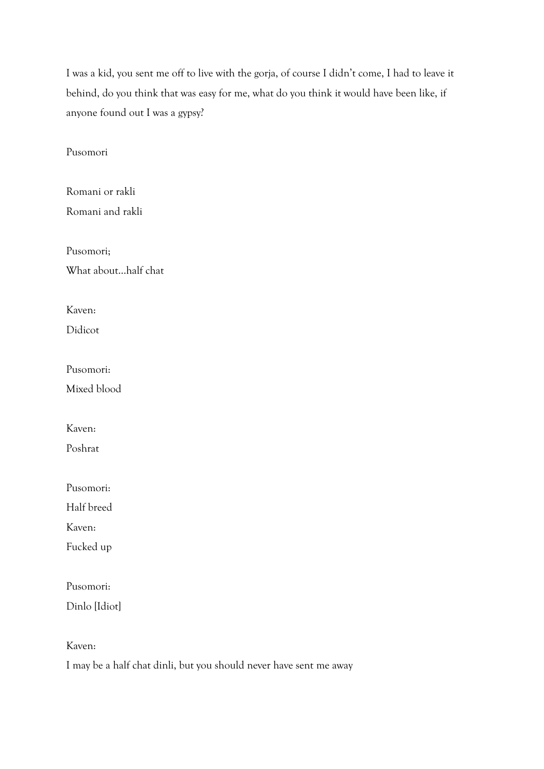I was a kid, you sent me off to live with the gorja, of course I didn't come, I had to leave it behind, do you think that was easy for me, what do you think it would have been like, if anyone found out I was a gypsy?

Pusomori

Romani or rakli Romani and rakli

Pusomori; What about…half chat

Kaven:

Didicot

Pusomori:

Mixed blood

Kaven:

Poshrat

Pusomori:

Half breed

Kaven:

Fucked up

Pusomori:

Dinlo [Idiot]

Kaven:

I may be a half chat dinli, but you should never have sent me away